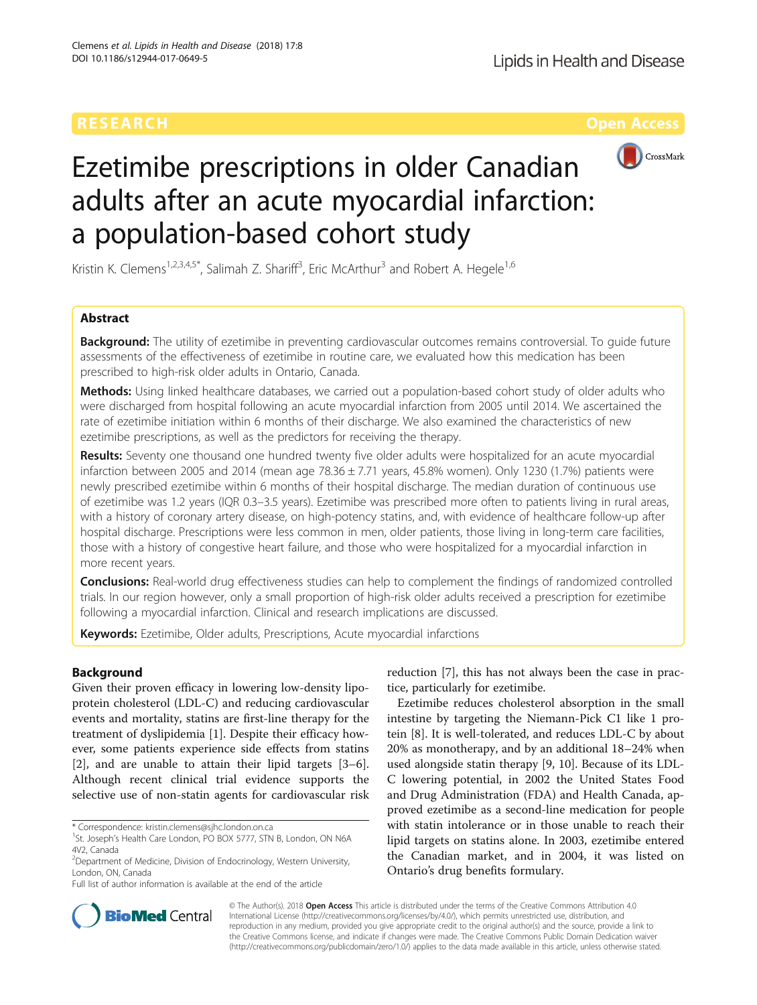

# Ezetimibe prescriptions in older Canadian adults after an acute myocardial infarction: a population-based cohort study

Kristin K. Clemens<sup>1,2,3,4,5\*</sup>, Salimah Z. Shariff<sup>3</sup>, Eric McArthur<sup>3</sup> and Robert A. Hegele<sup>1,6</sup>

# Abstract

**Background:** The utility of ezetimibe in preventing cardiovascular outcomes remains controversial. To quide future assessments of the effectiveness of ezetimibe in routine care, we evaluated how this medication has been prescribed to high-risk older adults in Ontario, Canada.

Methods: Using linked healthcare databases, we carried out a population-based cohort study of older adults who were discharged from hospital following an acute myocardial infarction from 2005 until 2014. We ascertained the rate of ezetimibe initiation within 6 months of their discharge. We also examined the characteristics of new ezetimibe prescriptions, as well as the predictors for receiving the therapy.

Results: Seventy one thousand one hundred twenty five older adults were hospitalized for an acute myocardial infarction between 2005 and 2014 (mean age  $78.36 \pm 7.71$  years, 45.8% women). Only 1230 (1.7%) patients were newly prescribed ezetimibe within 6 months of their hospital discharge. The median duration of continuous use of ezetimibe was 1.2 years (IQR 0.3–3.5 years). Ezetimibe was prescribed more often to patients living in rural areas, with a history of coronary artery disease, on high-potency statins, and, with evidence of healthcare follow-up after hospital discharge. Prescriptions were less common in men, older patients, those living in long-term care facilities, those with a history of congestive heart failure, and those who were hospitalized for a myocardial infarction in more recent years.

**Conclusions:** Real-world drug effectiveness studies can help to complement the findings of randomized controlled trials. In our region however, only a small proportion of high-risk older adults received a prescription for ezetimibe following a myocardial infarction. Clinical and research implications are discussed.

Keywords: Ezetimibe, Older adults, Prescriptions, Acute myocardial infarctions

# Background

Given their proven efficacy in lowering low-density lipoprotein cholesterol (LDL-C) and reducing cardiovascular events and mortality, statins are first-line therapy for the treatment of dyslipidemia [[1\]](#page-6-0). Despite their efficacy however, some patients experience side effects from statins [[2\]](#page-6-0), and are unable to attain their lipid targets [\[3](#page-6-0)–[6](#page-6-0)]. Although recent clinical trial evidence supports the selective use of non-statin agents for cardiovascular risk

reduction [[7](#page-6-0)], this has not always been the case in practice, particularly for ezetimibe.

Ezetimibe reduces cholesterol absorption in the small intestine by targeting the Niemann-Pick C1 like 1 protein [\[8](#page-6-0)]. It is well-tolerated, and reduces LDL-C by about 20% as monotherapy, and by an additional 18–24% when used alongside statin therapy [[9, 10](#page-6-0)]. Because of its LDL-C lowering potential, in 2002 the United States Food and Drug Administration (FDA) and Health Canada, approved ezetimibe as a second-line medication for people with statin intolerance or in those unable to reach their lipid targets on statins alone. In 2003, ezetimibe entered the Canadian market, and in 2004, it was listed on Ontario's drug benefits formulary.



© The Author(s). 2018 Open Access This article is distributed under the terms of the Creative Commons Attribution 4.0 International License [\(http://creativecommons.org/licenses/by/4.0/](http://creativecommons.org/licenses/by/4.0/)), which permits unrestricted use, distribution, and reproduction in any medium, provided you give appropriate credit to the original author(s) and the source, provide a link to the Creative Commons license, and indicate if changes were made. The Creative Commons Public Domain Dedication waiver [\(http://creativecommons.org/publicdomain/zero/1.0/](http://creativecommons.org/publicdomain/zero/1.0/)) applies to the data made available in this article, unless otherwise stated.

<sup>\*</sup> Correspondence: [kristin.clemens@sjhc.london.on.ca](mailto:kristin.clemens@sjhc.london.on.ca) <sup>1</sup>

<sup>&</sup>lt;sup>1</sup>St. Joseph's Health Care London, PO BOX 5777, STN B, London, ON N6A 4V2, Canada

<sup>&</sup>lt;sup>2</sup> Department of Medicine, Division of Endocrinology, Western University, London, ON, Canada

Full list of author information is available at the end of the article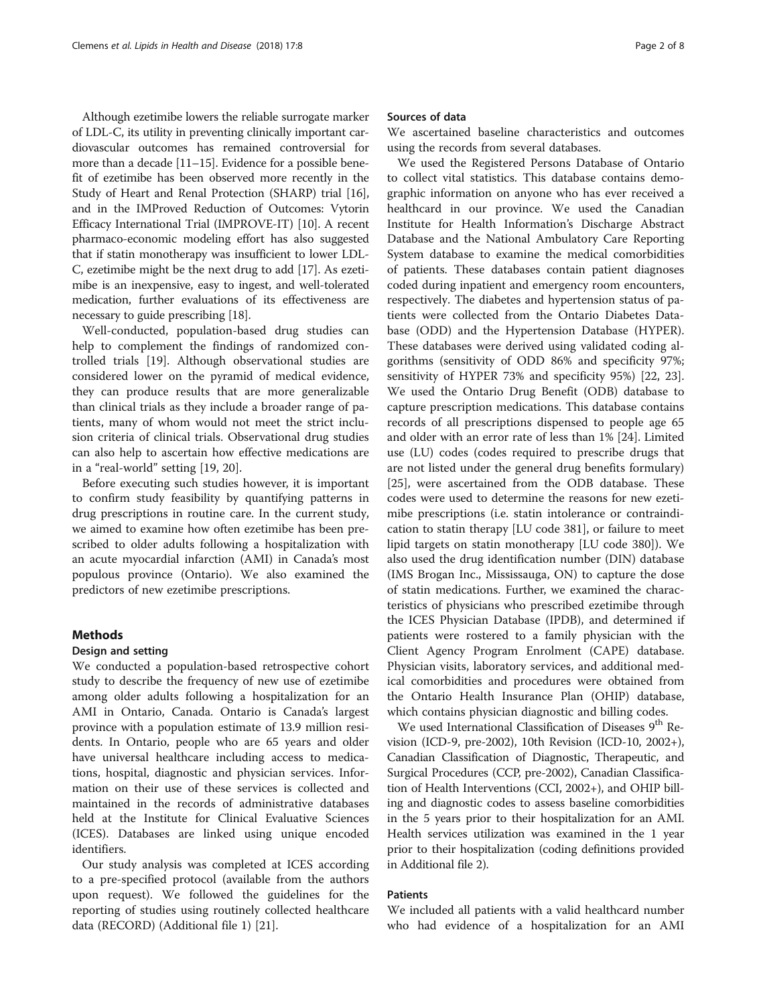Although ezetimibe lowers the reliable surrogate marker of LDL-C, its utility in preventing clinically important cardiovascular outcomes has remained controversial for more than a decade [\[11](#page-6-0)–[15](#page-7-0)]. Evidence for a possible benefit of ezetimibe has been observed more recently in the Study of Heart and Renal Protection (SHARP) trial [[16](#page-7-0)], and in the IMProved Reduction of Outcomes: Vytorin Efficacy International Trial (IMPROVE-IT) [\[10\]](#page-6-0). A recent pharmaco-economic modeling effort has also suggested that if statin monotherapy was insufficient to lower LDL-C, ezetimibe might be the next drug to add [\[17\]](#page-7-0). As ezetimibe is an inexpensive, easy to ingest, and well-tolerated medication, further evaluations of its effectiveness are necessary to guide prescribing [[18](#page-7-0)].

Well-conducted, population-based drug studies can help to complement the findings of randomized controlled trials [\[19](#page-7-0)]. Although observational studies are considered lower on the pyramid of medical evidence, they can produce results that are more generalizable than clinical trials as they include a broader range of patients, many of whom would not meet the strict inclusion criteria of clinical trials. Observational drug studies can also help to ascertain how effective medications are in a "real-world" setting [\[19](#page-7-0), [20](#page-7-0)].

Before executing such studies however, it is important to confirm study feasibility by quantifying patterns in drug prescriptions in routine care. In the current study, we aimed to examine how often ezetimibe has been prescribed to older adults following a hospitalization with an acute myocardial infarction (AMI) in Canada's most populous province (Ontario). We also examined the predictors of new ezetimibe prescriptions.

# Methods

# Design and setting

We conducted a population-based retrospective cohort study to describe the frequency of new use of ezetimibe among older adults following a hospitalization for an AMI in Ontario, Canada. Ontario is Canada's largest province with a population estimate of 13.9 million residents. In Ontario, people who are 65 years and older have universal healthcare including access to medications, hospital, diagnostic and physician services. Information on their use of these services is collected and maintained in the records of administrative databases held at the Institute for Clinical Evaluative Sciences (ICES). Databases are linked using unique encoded identifiers.

Our study analysis was completed at ICES according to a pre-specified protocol (available from the authors upon request). We followed the guidelines for the reporting of studies using routinely collected healthcare data (RECORD) (Additional file [1\)](#page-5-0) [[21\]](#page-7-0).

# Sources of data

We ascertained baseline characteristics and outcomes using the records from several databases.

We used the Registered Persons Database of Ontario to collect vital statistics. This database contains demographic information on anyone who has ever received a healthcard in our province. We used the Canadian Institute for Health Information's Discharge Abstract Database and the National Ambulatory Care Reporting System database to examine the medical comorbidities of patients. These databases contain patient diagnoses coded during inpatient and emergency room encounters, respectively. The diabetes and hypertension status of patients were collected from the Ontario Diabetes Database (ODD) and the Hypertension Database (HYPER). These databases were derived using validated coding algorithms (sensitivity of ODD 86% and specificity 97%; sensitivity of HYPER 73% and specificity 95%) [\[22](#page-7-0), [23](#page-7-0)]. We used the Ontario Drug Benefit (ODB) database to capture prescription medications. This database contains records of all prescriptions dispensed to people age 65 and older with an error rate of less than 1% [[24\]](#page-7-0). Limited use (LU) codes (codes required to prescribe drugs that are not listed under the general drug benefits formulary) [[25\]](#page-7-0), were ascertained from the ODB database. These codes were used to determine the reasons for new ezetimibe prescriptions (i.e. statin intolerance or contraindication to statin therapy [LU code 381], or failure to meet lipid targets on statin monotherapy [LU code 380]). We also used the drug identification number (DIN) database (IMS Brogan Inc., Mississauga, ON) to capture the dose of statin medications. Further, we examined the characteristics of physicians who prescribed ezetimibe through the ICES Physician Database (IPDB), and determined if patients were rostered to a family physician with the Client Agency Program Enrolment (CAPE) database. Physician visits, laboratory services, and additional medical comorbidities and procedures were obtained from the Ontario Health Insurance Plan (OHIP) database, which contains physician diagnostic and billing codes.

We used International Classification of Diseases 9<sup>th</sup> Revision (ICD-9, pre-2002), 10th Revision (ICD-10, 2002+), Canadian Classification of Diagnostic, Therapeutic, and Surgical Procedures (CCP, pre-2002), Canadian Classification of Health Interventions (CCI, 2002+), and OHIP billing and diagnostic codes to assess baseline comorbidities in the 5 years prior to their hospitalization for an AMI. Health services utilization was examined in the 1 year prior to their hospitalization (coding definitions provided in Additional file [2\)](#page-5-0).

# Patients

We included all patients with a valid healthcard number who had evidence of a hospitalization for an AMI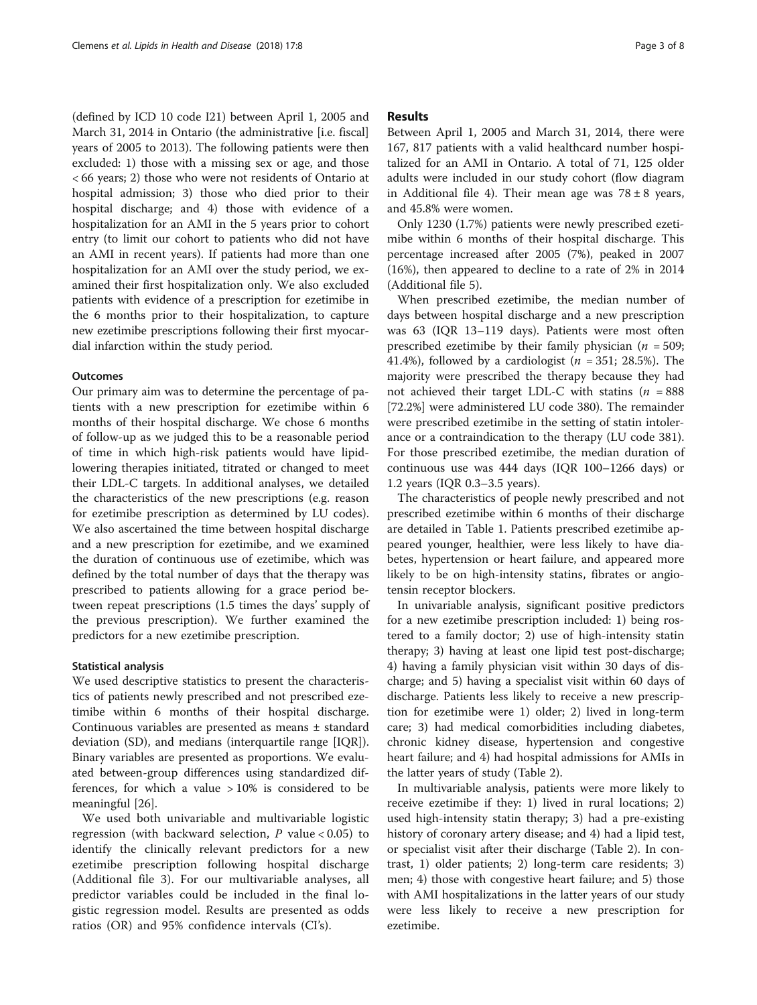(defined by ICD 10 code I21) between April 1, 2005 and March 31, 2014 in Ontario (the administrative [i.e. fiscal] years of 2005 to 2013). The following patients were then excluded: 1) those with a missing sex or age, and those < 66 years; 2) those who were not residents of Ontario at hospital admission; 3) those who died prior to their hospital discharge; and 4) those with evidence of a hospitalization for an AMI in the 5 years prior to cohort entry (to limit our cohort to patients who did not have an AMI in recent years). If patients had more than one hospitalization for an AMI over the study period, we examined their first hospitalization only. We also excluded patients with evidence of a prescription for ezetimibe in the 6 months prior to their hospitalization, to capture new ezetimibe prescriptions following their first myocardial infarction within the study period.

# **Outcomes**

Our primary aim was to determine the percentage of patients with a new prescription for ezetimibe within 6 months of their hospital discharge. We chose 6 months of follow-up as we judged this to be a reasonable period of time in which high-risk patients would have lipidlowering therapies initiated, titrated or changed to meet their LDL-C targets. In additional analyses, we detailed the characteristics of the new prescriptions (e.g. reason for ezetimibe prescription as determined by LU codes). We also ascertained the time between hospital discharge and a new prescription for ezetimibe, and we examined the duration of continuous use of ezetimibe, which was defined by the total number of days that the therapy was prescribed to patients allowing for a grace period between repeat prescriptions (1.5 times the days' supply of the previous prescription). We further examined the predictors for a new ezetimibe prescription.

# Statistical analysis

We used descriptive statistics to present the characteristics of patients newly prescribed and not prescribed ezetimibe within 6 months of their hospital discharge. Continuous variables are presented as means ± standard deviation (SD), and medians (interquartile range [IQR]). Binary variables are presented as proportions. We evaluated between-group differences using standardized differences, for which a value  $>10\%$  is considered to be meaningful [[26\]](#page-7-0).

We used both univariable and multivariable logistic regression (with backward selection,  $P$  value < 0.05) to identify the clinically relevant predictors for a new ezetimibe prescription following hospital discharge (Additional file [3\)](#page-5-0). For our multivariable analyses, all predictor variables could be included in the final logistic regression model. Results are presented as odds ratios (OR) and 95% confidence intervals (CI's).

# Results

Between April 1, 2005 and March 31, 2014, there were 167, 817 patients with a valid healthcard number hospitalized for an AMI in Ontario. A total of 71, 125 older adults were included in our study cohort (flow diagram in Additional file [4](#page-5-0)). Their mean age was  $78 \pm 8$  years, and 45.8% were women.

Only 1230 (1.7%) patients were newly prescribed ezetimibe within 6 months of their hospital discharge. This percentage increased after 2005 (7%), peaked in 2007 (16%), then appeared to decline to a rate of 2% in 2014 (Additional file [5](#page-5-0)).

When prescribed ezetimibe, the median number of days between hospital discharge and a new prescription was 63 (IQR 13–119 days). Patients were most often prescribed ezetimibe by their family physician ( $n = 509$ ; 41.4%), followed by a cardiologist  $(n = 351; 28.5%)$ . The majority were prescribed the therapy because they had not achieved their target LDL-C with statins  $(n = 888$ [72.2%] were administered LU code 380). The remainder were prescribed ezetimibe in the setting of statin intolerance or a contraindication to the therapy (LU code 381). For those prescribed ezetimibe, the median duration of continuous use was 444 days (IQR 100–1266 days) or 1.2 years (IQR 0.3–3.5 years).

The characteristics of people newly prescribed and not prescribed ezetimibe within 6 months of their discharge are detailed in Table [1.](#page-3-0) Patients prescribed ezetimibe appeared younger, healthier, were less likely to have diabetes, hypertension or heart failure, and appeared more likely to be on high-intensity statins, fibrates or angiotensin receptor blockers.

In univariable analysis, significant positive predictors for a new ezetimibe prescription included: 1) being rostered to a family doctor; 2) use of high-intensity statin therapy; 3) having at least one lipid test post-discharge; 4) having a family physician visit within 30 days of discharge; and 5) having a specialist visit within 60 days of discharge. Patients less likely to receive a new prescription for ezetimibe were 1) older; 2) lived in long-term care; 3) had medical comorbidities including diabetes, chronic kidney disease, hypertension and congestive heart failure; and 4) had hospital admissions for AMIs in the latter years of study (Table [2](#page-4-0)).

In multivariable analysis, patients were more likely to receive ezetimibe if they: 1) lived in rural locations; 2) used high-intensity statin therapy; 3) had a pre-existing history of coronary artery disease; and 4) had a lipid test, or specialist visit after their discharge (Table [2\)](#page-4-0). In contrast, 1) older patients; 2) long-term care residents; 3) men; 4) those with congestive heart failure; and 5) those with AMI hospitalizations in the latter years of our study were less likely to receive a new prescription for ezetimibe.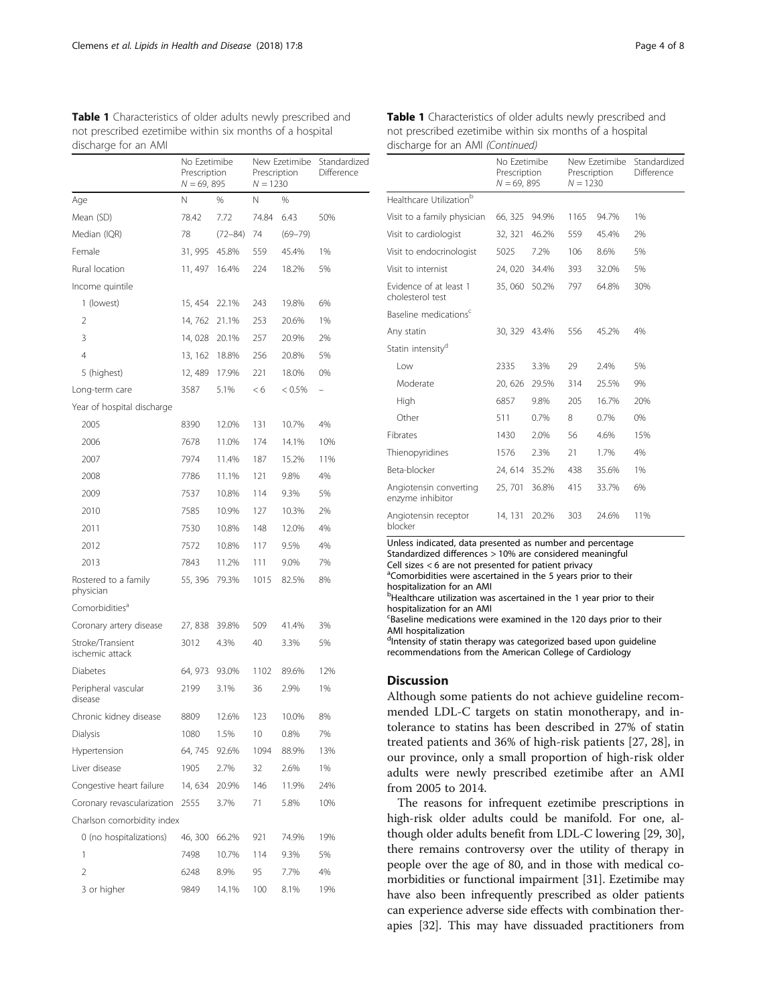|                                     | No Ezetimibe<br>Prescription<br>$N = 69, 895$ |         | New Ezetimibe<br>Prescription<br>$N = 1230$ |             | Standardized<br>Difference |
|-------------------------------------|-----------------------------------------------|---------|---------------------------------------------|-------------|----------------------------|
| Age                                 | Ν                                             | %       | Ν                                           | %           |                            |
| Mean (SD)                           | 78.42                                         | 7.72    | 74.84                                       | 6.43        | 50%                        |
| Median (IQR)                        | 78                                            | (72–84) | 74                                          | $(69 - 79)$ |                            |
| Female                              | 31, 995                                       | 45.8%   | 559                                         | 45.4%       | 1%                         |
| Rural location                      | 11, 497                                       | 16.4%   | 224                                         | 18.2%       | 5%                         |
| Income quintile                     |                                               |         |                                             |             |                            |
| 1 (lowest)                          | 15, 454                                       | 22.1%   | 243                                         | 19.8%       | 6%                         |
| 2                                   | 14,762                                        | 21.1%   | 253                                         | 20.6%       | 1%                         |
| 3                                   | 14,028                                        | 20.1%   | 257                                         | 20.9%       | 2%                         |
| $\overline{4}$                      | 13, 162                                       | 18.8%   | 256                                         | 20.8%       | 5%                         |
| 5 (highest)                         | 12, 489                                       | 17.9%   | 221                                         | 18.0%       | 0%                         |
| Long-term care                      | 3587                                          | 5.1%    | < 6                                         | $< 0.5\%$   |                            |
| Year of hospital discharge          |                                               |         |                                             |             |                            |
| 2005                                | 8390                                          | 12.0%   | 131                                         | 10.7%       | 4%                         |
| 2006                                | 7678                                          | 11.0%   | 174                                         | 14.1%       | 10%                        |
| 2007                                | 7974                                          | 11.4%   | 187                                         | 15.2%       | 11%                        |
| 2008                                | 7786                                          | 11.1%   | 121                                         | 9.8%        | 4%                         |
| 2009                                | 7537                                          | 10.8%   | 114                                         | 9.3%        | 5%                         |
| 2010                                | 7585                                          | 10.9%   | 127                                         | 10.3%       | 2%                         |
| 2011                                | 7530                                          | 10.8%   | 148                                         | 12.0%       | 4%                         |
| 2012                                | 7572                                          | 10.8%   | 117                                         | 9.5%        | 4%                         |
| 2013                                | 7843                                          | 11.2%   | 111                                         | 9.0%        | 7%                         |
| Rostered to a family<br>physician   | 55, 396                                       | 79.3%   | 1015                                        | 82.5%       | 8%                         |
| Comorbidities <sup>d</sup>          |                                               |         |                                             |             |                            |
| Coronary artery disease             | 27, 838                                       | 39.8%   | 509                                         | 41.4%       | 3%                         |
| Stroke/Transient<br>ischemic attack | 3012                                          | 4.3%    | 40                                          | 3.3%        | 5%                         |
| Diabetes                            | 64, 973                                       | 93.0%   | 1102                                        | 89.6%       | 12%                        |
| Peripheral vascular<br>disease      | 2199                                          | 3.1%    | 36                                          | 2.9%        | 1%                         |
| Chronic kidney disease              | 8809                                          | 12.6%   | 123                                         | 10.0%       | 8%                         |
| Dialysis                            | 1080                                          | 1.5%    | 10                                          | 0.8%        | 7%                         |
| Hypertension                        | 64, 745                                       | 92.6%   | 1094                                        | 88.9%       | 13%                        |
| Liver disease                       | 1905                                          | 2.7%    | 32                                          | 2.6%        | 1%                         |
| Congestive heart failure            | 14, 634                                       | 20.9%   | 146                                         | 11.9%       | 24%                        |
| Coronary revascularization          | 2555                                          | 3.7%    | 71                                          | 5.8%        | 10%                        |
| Charlson comorbidity index          |                                               |         |                                             |             |                            |
| 0 (no hospitalizations)             | 46, 300                                       | 66.2%   | 921                                         | 74.9%       | 19%                        |
| 1                                   | 7498                                          | 10.7%   | 114                                         | 9.3%        | 5%                         |
| $\overline{2}$                      | 6248                                          | 8.9%    | 95                                          | 7.7%        | 4%                         |
| 3 or higher                         | 9849                                          | 14.1%   | 100                                         | 8.1%        | 19%                        |

<span id="page-3-0"></span>Table 1 Characteristics of older adults newly prescribed and not prescribed ezetimibe within six months of a hospital discharge for an AMI

| Table 1 Characteristics of older adults newly prescribed and |
|--------------------------------------------------------------|
| not prescribed ezetimibe within six months of a hospital     |
| discharge for an AMI (Continued)                             |

|                                            | No Ezetimibe<br>Prescription<br>$N = 69, 895$ |       | New Ezetimibe<br>Prescription<br>$N = 1230$ |       | Standardized<br>Difference |
|--------------------------------------------|-----------------------------------------------|-------|---------------------------------------------|-------|----------------------------|
| Healthcare Utilization <sup>b</sup>        |                                               |       |                                             |       |                            |
| Visit to a family physician                | 66, 325                                       | 94.9% | 1165                                        | 94.7% | 1%                         |
| Visit to cardiologist                      | 32, 321                                       | 46.2% | 559                                         | 45.4% | 2%                         |
| Visit to endocrinologist                   | 5025                                          | 7.2%  | 106                                         | 8.6%  | 5%                         |
| Visit to internist                         | 24,020                                        | 34.4% | 393                                         | 32.0% | 5%                         |
| Evidence of at least 1<br>cholesterol test | 35,060                                        | 50.2% | 797                                         | 64.8% | 30%                        |
| Baseline medications <sup>c</sup>          |                                               |       |                                             |       |                            |
| Any statin                                 | 30, 329 43.4%                                 |       | 556                                         | 45.2% | 4%                         |
| Statin intensity <sup>d</sup>              |                                               |       |                                             |       |                            |
| Low                                        | 2335                                          | 3.3%  | 29                                          | 2.4%  | 5%                         |
| Moderate                                   | 20, 626                                       | 29.5% | 314                                         | 25.5% | 9%                         |
| High                                       | 6857                                          | 9.8%  | 205                                         | 16.7% | 20%                        |
| Other                                      | 511                                           | 0.7%  | 8                                           | 0.7%  | 0%                         |
| Fibrates                                   | 1430                                          | 2.0%  | 56                                          | 4.6%  | 15%                        |
| Thienopyridines                            | 1576                                          | 2.3%  | 21                                          | 1.7%  | 4%                         |
| Beta-blocker                               | 24, 614                                       | 35.2% | 438                                         | 35.6% | 1%                         |
| Angiotensin converting<br>enzyme inhibitor | 25, 701                                       | 36.8% | 415                                         | 33.7% | 6%                         |
| Angiotensin receptor<br>blocker            | 14, 131                                       | 20.2% | 303                                         | 24.6% | 11%                        |

Unless indicated, data presented as number and percentage Standardized differences > 10% are considered meaningful

Cell sizes < 6 are not presented for patient privacy

<sup>a</sup> Comorbidities were ascertained in the 5 years prior to their hospitalization for an AMI

<sup>b</sup>Healthcare utilization was ascertained in the 1 year prior to their hospitalization for an AMI

<sup>c</sup>Baseline medications were examined in the 120 days prior to their AMI hospitalization

dIntensity of statin therapy was categorized based upon guideline recommendations from the American College of Cardiology

# Discussion

Although some patients do not achieve guideline recommended LDL-C targets on statin monotherapy, and intolerance to statins has been described in 27% of statin treated patients and 36% of high-risk patients [[27](#page-7-0), [28](#page-7-0)], in our province, only a small proportion of high-risk older adults were newly prescribed ezetimibe after an AMI from 2005 to 2014.

The reasons for infrequent ezetimibe prescriptions in high-risk older adults could be manifold. For one, although older adults benefit from LDL-C lowering [\[29, 30](#page-7-0)], there remains controversy over the utility of therapy in people over the age of 80, and in those with medical comorbidities or functional impairment [\[31](#page-7-0)]. Ezetimibe may have also been infrequently prescribed as older patients can experience adverse side effects with combination therapies [[32](#page-7-0)]. This may have dissuaded practitioners from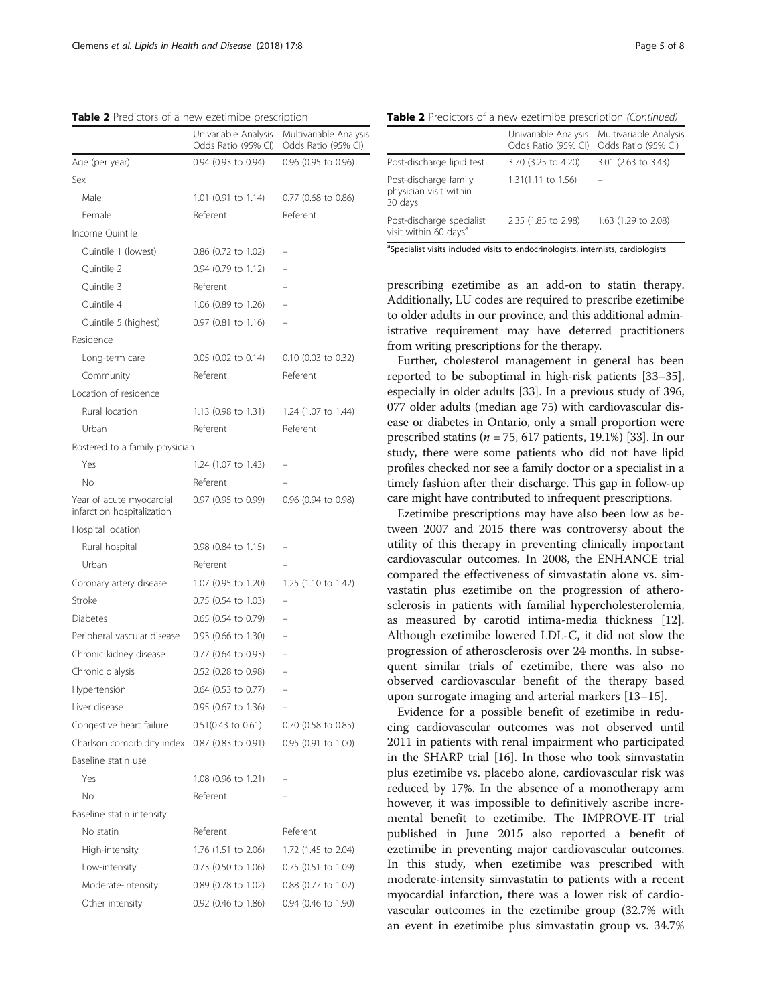<span id="page-4-0"></span>Table 2 Predictors of a new ezetimibe prescription

|                                                        | Univariable Analysis<br>Odds Ratio (95% CI) | Multivariable Analysis<br>Odds Ratio (95% CI) |
|--------------------------------------------------------|---------------------------------------------|-----------------------------------------------|
| Age (per year)                                         | 0.94 (0.93 to 0.94)                         | 0.96 (0.95 to 0.96)                           |
| Sex                                                    |                                             |                                               |
| Male                                                   | 1.01 (0.91 to 1.14)                         | 0.77 (0.68 to 0.86)                           |
| Female                                                 | Referent                                    | Referent                                      |
| Income Quintile                                        |                                             |                                               |
| Quintile 1 (lowest)                                    | $0.86$ (0.72 to 1.02)                       |                                               |
| Ouintile 2                                             | 0.94 (0.79 to 1.12)                         |                                               |
| Quintile 3                                             | Referent                                    |                                               |
| Quintile 4                                             | 1.06 (0.89 to 1.26)                         |                                               |
| Quintile 5 (highest)                                   | 0.97 (0.81 to 1.16)                         |                                               |
| Residence                                              |                                             |                                               |
| Long-term care                                         | $0.05$ (0.02 to 0.14)                       | $0.10$ (0.03 to 0.32)                         |
| Community                                              | Referent                                    | Referent                                      |
| Location of residence                                  |                                             |                                               |
| Rural location                                         | 1.13 (0.98 to 1.31)                         | 1.24 (1.07 to 1.44)                           |
| Urban                                                  | Referent                                    | Referent                                      |
| Rostered to a family physician                         |                                             |                                               |
| Yes                                                    | 1.24 (1.07 to 1.43)                         |                                               |
| No                                                     | Referent                                    |                                               |
| Year of acute myocardial<br>infarction hospitalization | 0.97 (0.95 to 0.99)                         | 0.96 (0.94 to 0.98)                           |
| Hospital location                                      |                                             |                                               |
| Rural hospital                                         | $0.98$ (0.84 to 1.15)                       |                                               |
| Urban                                                  | Referent                                    |                                               |
| Coronary artery disease                                | 1.07 (0.95 to 1.20)                         | 1.25 (1.10 to 1.42)                           |
| Stroke                                                 | 0.75 (0.54 to 1.03)                         |                                               |
| Diabetes                                               | 0.65 (0.54 to 0.79)                         |                                               |
| Peripheral vascular disease                            | $0.93$ (0.66 to 1.30)                       |                                               |
| Chronic kidney disease                                 | 0.77 (0.64 to 0.93)                         |                                               |
| Chronic dialysis                                       | 0.52 (0.28 to 0.98)                         |                                               |
| Hypertension                                           | 0.64 (0.53 to 0.77)                         |                                               |
| Liver disease                                          | 0.95 (0.67 to 1.36)                         |                                               |
| Congestive heart failure                               | $0.51(0.43 \text{ to } 0.61)$               | 0.70 (0.58 to 0.85)                           |
| Charlson comorbidity index                             | $0.87$ (0.83 to 0.91)                       | 0.95 (0.91 to 1.00)                           |
| Baseline statin use                                    |                                             |                                               |
| Yes                                                    | 1.08 (0.96 to 1.21)                         |                                               |
| Νo                                                     | Referent                                    |                                               |
| Baseline statin intensity                              |                                             |                                               |
| No statin                                              | Referent                                    | Referent                                      |
| High-intensity                                         | 1.76 (1.51 to 2.06)                         | 1.72 (1.45 to 2.04)                           |
| Low-intensity                                          | $0.73$ (0.50 to 1.06)                       | 0.75 (0.51 to 1.09)                           |
| Moderate-intensity                                     | 0.89 (0.78 to 1.02)                         | 0.88 (0.77 to 1.02)                           |
| Other intensity                                        | 0.92 (0.46 to 1.86)                         | 0.94 (0.46 to 1.90)                           |

Table 2 Predictors of a new ezetimibe prescription (Continued)

|                                                                | Univariable Analysis<br>Odds Ratio (95% CI) | Multivariable Analysis<br>Odds Ratio (95% CI) |  |  |
|----------------------------------------------------------------|---------------------------------------------|-----------------------------------------------|--|--|
| Post-discharge lipid test                                      | 3.70 (3.25 to 4.20)                         | 3.01 (2.63 to 3.43)                           |  |  |
| Post-discharge family<br>physician visit within<br>30 days     | 1.31(1.11 to 1.56)                          |                                               |  |  |
| Post-discharge specialist<br>visit within 60 days <sup>a</sup> | 2.35 (1.85 to 2.98)                         | 1.63 (1.29 to 2.08)                           |  |  |

<sup>a</sup>Specialist visits included visits to endocrinologists, internists, cardiologists

prescribing ezetimibe as an add-on to statin therapy. Additionally, LU codes are required to prescribe ezetimibe to older adults in our province, and this additional administrative requirement may have deterred practitioners from writing prescriptions for the therapy.

Further, cholesterol management in general has been reported to be suboptimal in high-risk patients [\[33](#page-7-0)–[35](#page-7-0)], especially in older adults [\[33\]](#page-7-0). In a previous study of 396, 077 older adults (median age 75) with cardiovascular disease or diabetes in Ontario, only a small proportion were prescribed statins ( $n = 75, 617$  patients, 19.1%) [\[33\]](#page-7-0). In our study, there were some patients who did not have lipid profiles checked nor see a family doctor or a specialist in a timely fashion after their discharge. This gap in follow-up care might have contributed to infrequent prescriptions.

Ezetimibe prescriptions may have also been low as between 2007 and 2015 there was controversy about the utility of this therapy in preventing clinically important cardiovascular outcomes. In 2008, the ENHANCE trial compared the effectiveness of simvastatin alone vs. simvastatin plus ezetimibe on the progression of atherosclerosis in patients with familial hypercholesterolemia, as measured by carotid intima-media thickness [\[12](#page-6-0)]. Although ezetimibe lowered LDL-C, it did not slow the progression of atherosclerosis over 24 months. In subsequent similar trials of ezetimibe, there was also no observed cardiovascular benefit of the therapy based upon surrogate imaging and arterial markers [\[13](#page-6-0)–[15\]](#page-7-0).

Evidence for a possible benefit of ezetimibe in reducing cardiovascular outcomes was not observed until 2011 in patients with renal impairment who participated in the SHARP trial [[16\]](#page-7-0). In those who took simvastatin plus ezetimibe vs. placebo alone, cardiovascular risk was reduced by 17%. In the absence of a monotherapy arm however, it was impossible to definitively ascribe incremental benefit to ezetimibe. The IMPROVE-IT trial published in June 2015 also reported a benefit of ezetimibe in preventing major cardiovascular outcomes. In this study, when ezetimibe was prescribed with moderate-intensity simvastatin to patients with a recent myocardial infarction, there was a lower risk of cardiovascular outcomes in the ezetimibe group (32.7% with an event in ezetimibe plus simvastatin group vs. 34.7%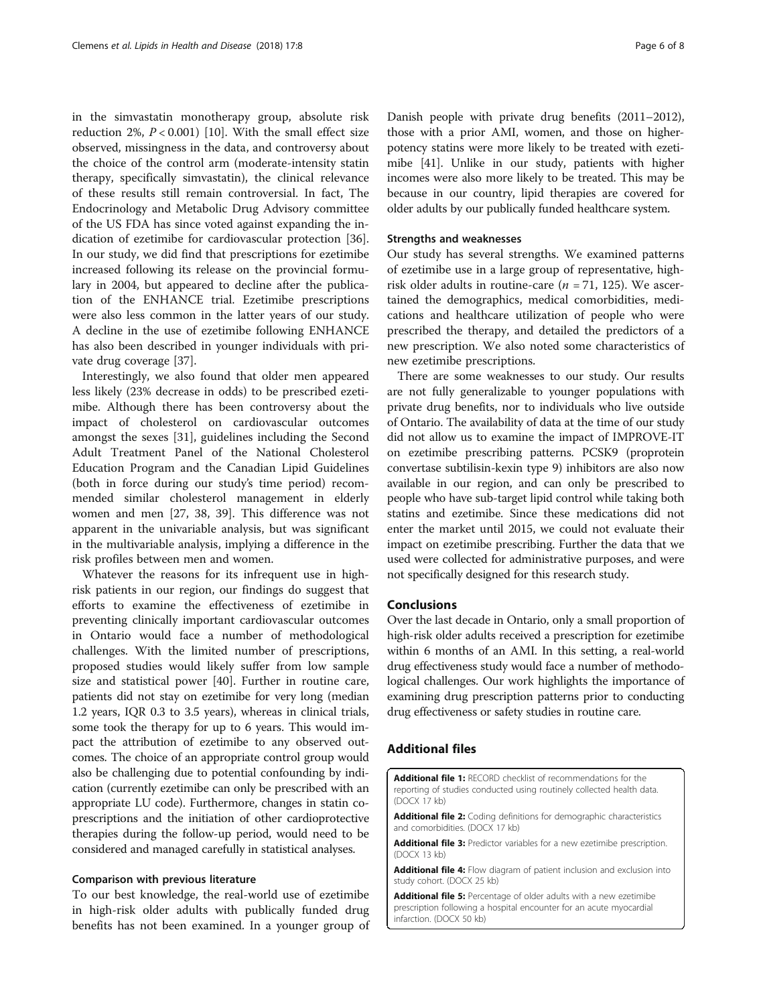<span id="page-5-0"></span>in the simvastatin monotherapy group, absolute risk reduction 2%,  $P < 0.001$  [[10\]](#page-6-0). With the small effect size observed, missingness in the data, and controversy about the choice of the control arm (moderate-intensity statin therapy, specifically simvastatin), the clinical relevance of these results still remain controversial. In fact, The Endocrinology and Metabolic Drug Advisory committee of the US FDA has since voted against expanding the indication of ezetimibe for cardiovascular protection [\[36](#page-7-0)]. In our study, we did find that prescriptions for ezetimibe increased following its release on the provincial formulary in 2004, but appeared to decline after the publication of the ENHANCE trial. Ezetimibe prescriptions were also less common in the latter years of our study. A decline in the use of ezetimibe following ENHANCE has also been described in younger individuals with private drug coverage [[37](#page-7-0)].

Interestingly, we also found that older men appeared less likely (23% decrease in odds) to be prescribed ezetimibe. Although there has been controversy about the impact of cholesterol on cardiovascular outcomes amongst the sexes [\[31](#page-7-0)], guidelines including the Second Adult Treatment Panel of the National Cholesterol Education Program and the Canadian Lipid Guidelines (both in force during our study's time period) recommended similar cholesterol management in elderly women and men [[27](#page-7-0), [38](#page-7-0), [39\]](#page-7-0). This difference was not apparent in the univariable analysis, but was significant in the multivariable analysis, implying a difference in the risk profiles between men and women.

Whatever the reasons for its infrequent use in highrisk patients in our region, our findings do suggest that efforts to examine the effectiveness of ezetimibe in preventing clinically important cardiovascular outcomes in Ontario would face a number of methodological challenges. With the limited number of prescriptions, proposed studies would likely suffer from low sample size and statistical power [[40](#page-7-0)]. Further in routine care, patients did not stay on ezetimibe for very long (median 1.2 years, IQR 0.3 to 3.5 years), whereas in clinical trials, some took the therapy for up to 6 years. This would impact the attribution of ezetimibe to any observed outcomes. The choice of an appropriate control group would also be challenging due to potential confounding by indication (currently ezetimibe can only be prescribed with an appropriate LU code). Furthermore, changes in statin coprescriptions and the initiation of other cardioprotective therapies during the follow-up period, would need to be considered and managed carefully in statistical analyses.

# Comparison with previous literature

To our best knowledge, the real-world use of ezetimibe in high-risk older adults with publically funded drug benefits has not been examined. In a younger group of Danish people with private drug benefits (2011–2012), those with a prior AMI, women, and those on higherpotency statins were more likely to be treated with ezetimibe [\[41\]](#page-7-0). Unlike in our study, patients with higher incomes were also more likely to be treated. This may be because in our country, lipid therapies are covered for older adults by our publically funded healthcare system.

# Strengths and weaknesses

Our study has several strengths. We examined patterns of ezetimibe use in a large group of representative, highrisk older adults in routine-care ( $n = 71$ , 125). We ascertained the demographics, medical comorbidities, medications and healthcare utilization of people who were prescribed the therapy, and detailed the predictors of a new prescription. We also noted some characteristics of new ezetimibe prescriptions.

There are some weaknesses to our study. Our results are not fully generalizable to younger populations with private drug benefits, nor to individuals who live outside of Ontario. The availability of data at the time of our study did not allow us to examine the impact of IMPROVE-IT on ezetimibe prescribing patterns. PCSK9 (proprotein convertase subtilisin-kexin type 9) inhibitors are also now available in our region, and can only be prescribed to people who have sub-target lipid control while taking both statins and ezetimibe. Since these medications did not enter the market until 2015, we could not evaluate their impact on ezetimibe prescribing. Further the data that we used were collected for administrative purposes, and were not specifically designed for this research study.

# Conclusions

Over the last decade in Ontario, only a small proportion of high-risk older adults received a prescription for ezetimibe within 6 months of an AMI. In this setting, a real-world drug effectiveness study would face a number of methodological challenges. Our work highlights the importance of examining drug prescription patterns prior to conducting drug effectiveness or safety studies in routine care.

# Additional files

[Additional file 1:](dx.doi.org/10.1186/s12944-017-0649-5) RECORD checklist of recommendations for the reporting of studies conducted using routinely collected health data. (DOCX 17 kb)

[Additional file 2:](dx.doi.org/10.1186/s12944-017-0649-5) Coding definitions for demographic characteristics and comorbidities. (DOCX 17 kb)

[Additional file 3:](dx.doi.org/10.1186/s12944-017-0649-5) Predictor variables for a new ezetimibe prescription. (DOCX 13 kb)

[Additional file 4:](dx.doi.org/10.1186/s12944-017-0649-5) Flow diagram of patient inclusion and exclusion into study cohort. (DOCX 25 kb)

[Additional file 5:](dx.doi.org/10.1186/s12944-017-0649-5) Percentage of older adults with a new ezetimibe prescription following a hospital encounter for an acute myocardial infarction. (DOCX 50 kb)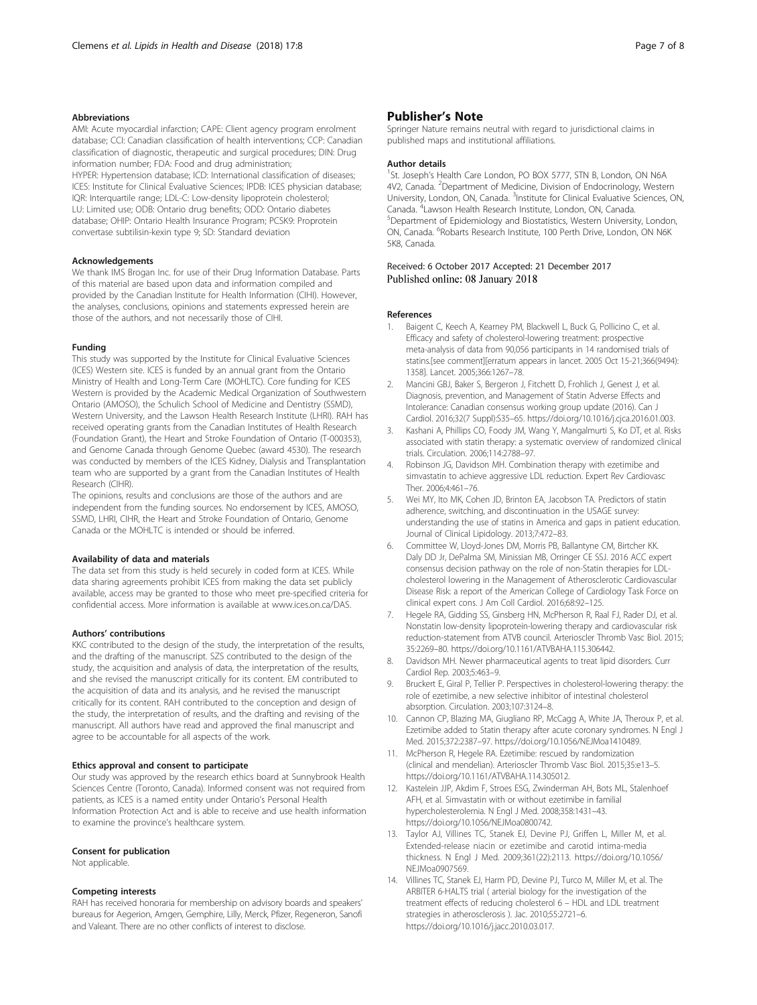# <span id="page-6-0"></span>Abbreviations

AMI: Acute myocardial infarction; CAPE: Client agency program enrolment database; CCI: Canadian classification of health interventions; CCP: Canadian classification of diagnostic, therapeutic and surgical procedures; DIN: Drug information number; FDA: Food and drug administration; HYPER: Hypertension database; ICD: International classification of diseases; ICES: Institute for Clinical Evaluative Sciences; IPDB: ICES physician database; IQR: Interquartile range; LDL-C: Low-density lipoprotein cholesterol; LU: Limited use; ODB: Ontario drug benefits; ODD: Ontario diabetes database; OHIP: Ontario Health Insurance Program; PCSK9: Proprotein convertase subtilisin-kexin type 9; SD: Standard deviation

# Acknowledgements

We thank IMS Brogan Inc. for use of their Drug Information Database. Parts of this material are based upon data and information compiled and provided by the Canadian Institute for Health Information (CIHI). However, the analyses, conclusions, opinions and statements expressed herein are those of the authors, and not necessarily those of CIHI.

#### Funding

This study was supported by the Institute for Clinical Evaluative Sciences (ICES) Western site. ICES is funded by an annual grant from the Ontario Ministry of Health and Long-Term Care (MOHLTC). Core funding for ICES Western is provided by the Academic Medical Organization of Southwestern Ontario (AMOSO), the Schulich School of Medicine and Dentistry (SSMD), Western University, and the Lawson Health Research Institute (LHRI). RAH has received operating grants from the Canadian Institutes of Health Research (Foundation Grant), the Heart and Stroke Foundation of Ontario (T-000353), and Genome Canada through Genome Quebec (award 4530). The research was conducted by members of the ICES Kidney, Dialysis and Transplantation team who are supported by a grant from the Canadian Institutes of Health Research (CIHR).

The opinions, results and conclusions are those of the authors and are independent from the funding sources. No endorsement by ICES, AMOSO, SSMD, LHRI, CIHR, the Heart and Stroke Foundation of Ontario, Genome Canada or the MOHLTC is intended or should be inferred.

#### Availability of data and materials

The data set from this study is held securely in coded form at ICES. While data sharing agreements prohibit ICES from making the data set publicly available, access may be granted to those who meet pre-specified criteria for confidential access. More information is available at [www.ices.on.ca/DAS](http://www.ices.on.ca/DAS).

# Authors' contributions

KKC contributed to the design of the study, the interpretation of the results, and the drafting of the manuscript. SZS contributed to the design of the study, the acquisition and analysis of data, the interpretation of the results, and she revised the manuscript critically for its content. EM contributed to the acquisition of data and its analysis, and he revised the manuscript critically for its content. RAH contributed to the conception and design of the study, the interpretation of results, and the drafting and revising of the manuscript. All authors have read and approved the final manuscript and agree to be accountable for all aspects of the work.

#### Ethics approval and consent to participate

Our study was approved by the research ethics board at Sunnybrook Health Sciences Centre (Toronto, Canada). Informed consent was not required from patients, as ICES is a named entity under Ontario's Personal Health Information Protection Act and is able to receive and use health information to examine the province's healthcare system.

#### Consent for publication

Not applicable.

#### Competing interests

RAH has received honoraria for membership on advisory boards and speakers' bureaus for Aegerion, Amgen, Gemphire, Lilly, Merck, Pfizer, Regeneron, Sanofi and Valeant. There are no other conflicts of interest to disclose.

# Publisher's Note

Springer Nature remains neutral with regard to jurisdictional claims in published maps and institutional affiliations.

#### Author details

<sup>1</sup>St. Joseph's Health Care London, PO BOX 5777, STN B, London, ON N6A 4V2, Canada. <sup>2</sup>Department of Medicine, Division of Endocrinology, Western University, London, ON, Canada. <sup>3</sup>Institute for Clinical Evaluative Sciences, ON, Canada. <sup>4</sup> Lawson Health Research Institute, London, ON, Canada.<br><sup>5</sup> Department of Enidemiology and Biostatistics Western Universi <sup>5</sup>Department of Epidemiology and Biostatistics, Western University, London, ON, Canada. <sup>6</sup>Robarts Research Institute, 100 Perth Drive, London, ON N6K 5K8, Canada.

#### Received: 6 October 2017 Accepted: 21 December 2017 Published online: 08 January 2018

#### References

- 1. Baigent C, Keech A, Kearney PM, Blackwell L, Buck G, Pollicino C, et al. Efficacy and safety of cholesterol-lowering treatment: prospective meta-analysis of data from 90,056 participants in 14 randomised trials of statins.[see comment][erratum appears in lancet. 2005 Oct 15-21;366(9494): 1358]. Lancet. 2005;366:1267–78.
- 2. Mancini GBJ, Baker S, Bergeron J, Fitchett D, Frohlich J, Genest J, et al. Diagnosis, prevention, and Management of Statin Adverse Effects and Intolerance: Canadian consensus working group update (2016). Can J Cardiol. 2016;32(7 Suppl):S35–65. [https://doi.org/10.1016/j.cjca.2016.01.003.](http://dx.doi.org/10.1016/j.cjca.2016.01.003)
- 3. Kashani A, Phillips CO, Foody JM, Wang Y, Mangalmurti S, Ko DT, et al. Risks associated with statin therapy: a systematic overview of randomized clinical trials. Circulation. 2006;114:2788–97.
- 4. Robinson JG, Davidson MH. Combination therapy with ezetimibe and simvastatin to achieve aggressive LDL reduction. Expert Rev Cardiovasc Ther. 2006;4:461–76.
- 5. Wei MY, Ito MK, Cohen JD, Brinton EA, Jacobson TA. Predictors of statin adherence, switching, and discontinuation in the USAGE survey: understanding the use of statins in America and gaps in patient education. Journal of Clinical Lipidology. 2013;7:472–83.
- 6. Committee W, Lloyd-Jones DM, Morris PB, Ballantyne CM, Birtcher KK. Daly DD Jr, DePalma SM, Minissian MB, Orringer CE SSJ. 2016 ACC expert consensus decision pathway on the role of non-Statin therapies for LDLcholesterol lowering in the Management of Atherosclerotic Cardiovascular Disease Risk: a report of the American College of Cardiology Task Force on clinical expert cons. J Am Coll Cardiol. 2016;68:92–125.
- 7. Hegele RA, Gidding SS, Ginsberg HN, McPherson R, Raal FJ, Rader DJ, et al. Nonstatin low-density lipoprotein-lowering therapy and cardiovascular risk reduction-statement from ATVB council. Arterioscler Thromb Vasc Biol. 2015; 35:2269–80. [https://doi.org/10.1161/ATVBAHA.115.306442.](http://dx.doi.org/10.1161/ATVBAHA.115.306442)
- 8. Davidson MH. Newer pharmaceutical agents to treat lipid disorders. Curr Cardiol Rep. 2003;5:463–9.
- 9. Bruckert E, Giral P, Tellier P. Perspectives in cholesterol-lowering therapy: the role of ezetimibe, a new selective inhibitor of intestinal cholesterol absorption. Circulation. 2003;107:3124–8.
- 10. Cannon CP, Blazing MA, Giugliano RP, McCagg A, White JA, Theroux P, et al. Ezetimibe added to Statin therapy after acute coronary syndromes. N Engl J Med. 2015;372:2387–97. [https://doi.org/10.1056/NEJMoa1410489](http://dx.doi.org/10.1056/NEJMoa1410489).
- 11. McPherson R, Hegele RA. Ezetimibe: rescued by randomization (clinical and mendelian). Arterioscler Thromb Vasc Biol. 2015;35:e13–5. [https://doi.org/10.1161/ATVBAHA.114.305012](http://dx.doi.org/10.1161/ATVBAHA.114.305012).
- 12. Kastelein JJP, Akdim F, Stroes ESG, Zwinderman AH, Bots ML, Stalenhoef AFH, et al. Simvastatin with or without ezetimibe in familial hypercholesterolemia. N Engl J Med. 2008;358:1431–43. [https://doi.org/10.1056/NEJMoa0800742.](http://dx.doi.org/10.1056/NEJMoa0800742)
- 13. Taylor AJ, Villines TC, Stanek EJ, Devine PJ, Griffen L, Miller M, et al. Extended-release niacin or ezetimibe and carotid intima-media thickness. N Engl J Med. 2009;361(22):2113. [https://doi.org/10.1056/](http://dx.doi.org/10.1056/NEJMoa0907569) [NEJMoa0907569](http://dx.doi.org/10.1056/NEJMoa0907569).
- 14. Villines TC, Stanek EJ, Harm PD, Devine PJ, Turco M, Miller M, et al. The ARBITER 6-HALTS trial ( arterial biology for the investigation of the treatment effects of reducing cholesterol 6 – HDL and LDL treatment strategies in atherosclerosis ). Jac. 2010;55:2721–6. [https://doi.org/10.1016/j.jacc.2010.03.017.](http://dx.doi.org/10.1016/j.jacc.2010.03.017)